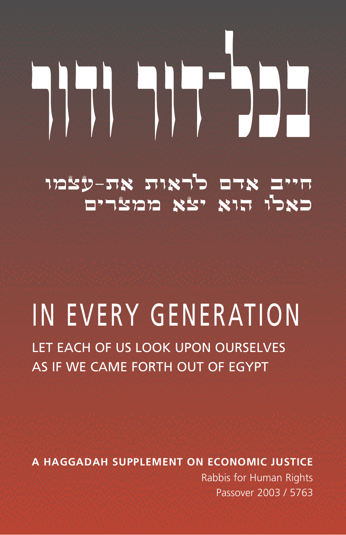# 

# חייב אדם לראות את-עצמו<br>כאלו הוא יצא ממצרים

# IN EVERY GENERATION

LET EACH OF US LOOK UPON OURSELVES AS IF WE CAME FORTH OUT OF EGYPT

**A HAGGADAH SUPPLEMENT ON ECONOMIC JUSTICE**

Rabbis for Human Rights Passover 2003 / 5763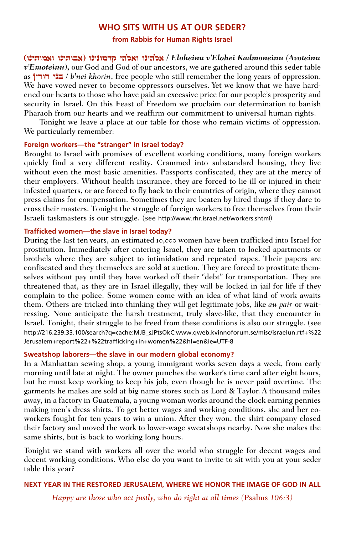### **WHO SITS WITH US AT OUR SEDER?**

**from Rabbis for Human Rights Israel**

**/** *Eloheinu v'Elohei Kadmoneinu (Avoteinu v'Emoteinu),* our God and God of our ancestors, we are gathered around this seder table as / *b'nei khorin*, free people who still remember the long years of oppression. We have vowed never to become oppressors ourselves. Yet we know that we have hardened our hearts to those who have paid an excessive price for our people's prosperity and security in Israel. On this Feast of Freedom we proclaim our determination to banish Pharaoh from our hearts and we reaffirm our commitment to universal human rights.

Tonight we leave a place at our table for those who remain victims of oppression. We particularly remember:

### **Foreign workers—the "stranger" in Israel today?**

Brought to Israel with promises of excellent working conditions, many foreign workers quickly find a very different reality. Crammed into substandard housing, they live without even the most basic amenities. Passports confiscated, they are at the mercy of their employers. Without health insurance, they are forced to lie ill or injured in their infested quarters, or are forced to fly back to their countries of origin, where they cannot press claims for compensation. Sometimes they are beaten by hired thugs if they dare to cross their masters. Tonight the struggle of foreign workers to free themselves from their Israeli taskmasters is our struggle. (see http://www.rhr.israel.net/workers.shtml)

### **Trafficked women—the slave in Israel today?**

During the last ten years, an estimated 10,000 women have been trafficked into Israel for prostitution. Immediately after entering Israel, they are taken to locked apartments or brothels where they are subject to intimidation and repeated rapes. Their papers are confiscated and they themselves are sold at auction. They are forced to prostitute themselves without pay until they have worked off their "debt" for transportation. They are threatened that, as they are in Israel illegally, they will be locked in jail for life if they complain to the police. Some women come with an idea of what kind of work awaits them. Others are tricked into thinking they will get legitimate jobs, like *au pair* or waitressing. None anticipate the harsh treatment, truly slave-like, that they encounter in Israel. Tonight, their struggle to be freed from these conditions is also our struggle. (see http://216.239.33.100/search?q=cache:MJB sJPtsOkC:www.qweb.kvinnoforum.se/misc/israelun.rtf+%22 Jerusalem+report%22+%22trafficking+in+women%22&hl=en&ie=UTF-8

### **Sweatshop laborers—the slave in our modern global economy?**

In a Manhattan sewing shop, a young immigrant works seven days a week, from early morning until late at night. The owner punches the worker's time card after eight hours, but he must keep working to keep his job, even though he is never paid overtime. The garments he makes are sold at big name stores such as Lord & Taylor. A thousand miles away, in a factory in Guatemala, a young woman works around the clock earning pennies making men's dress shirts. To get better wages and working conditions, she and her coworkers fought for ten years to win a union. After they won, the shirt company closed their factory and moved the work to lower-wage sweatshops nearby. Now she makes the same shirts, but is back to working long hours.

Tonight we stand with workers all over the world who struggle for decent wages and decent working conditions. Who else do you want to invite to sit with you at your seder table this year?

### **NEXT YEAR IN THE RESTORED JERUSALEM, WHERE WE HONOR THE IMAGE OF GOD IN ALL**

*Happy are those who act justly, who do right at all times (*Psalms *106:3)*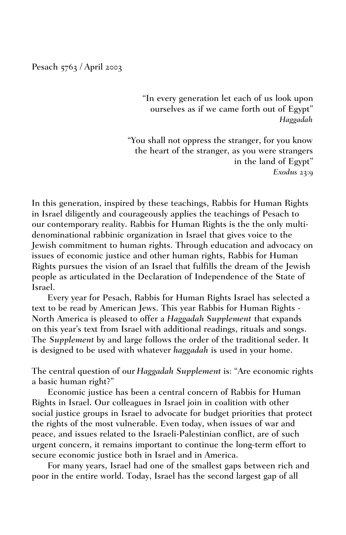"In every generation let each of us look upon ourselves as if we came forth out of Egypt" *Haggadah*

"You shall not oppress the stranger, for you know the heart of the stranger, as you were strangers in the land of Egypt" *Exodus* 23:9

In this generation, inspired by these teachings, Rabbis for Human Rights in Israel diligently and courageously applies the teachings of Pesach to our contemporary reality. Rabbis for Human Rights is the the only multidenominational rabbinic organization in Israel that gives voice to the Jewish commitment to human rights. Through education and advocacy on issues of economic justice and other human rights, Rabbis for Human Rights pursues the vision of an Israel that fulfills the dream of the Jewish people as articulated in the Declaration of Independence of the State of Israel.

Every year for Pesach, Rabbis for Human Rights Israel has selected a text to be read by American Jews. This year Rabbis for Human Rights - North America is pleased to offer a *Haggadah Supplement* that expands on this year's text from Israel with additional readings, rituals and songs. The *Supplement* by and large follows the order of the traditional seder. It is designed to be used with whatever *haggadah* is used in your home.

The central question of our *Haggadah Supplement* is: "Are economic rights a basic human right?"

Economic justice has been a central concern of Rabbis for Human Rights in Israel. Our colleagues in Israel join in coalition with other social justice groups in Israel to advocate for budget priorities that protect the rights of the most vulnerable. Even today, when issues of war and peace, and issues related to the Israeli-Palestinian conflict, are of such urgent concern, it remains important to continue the long-term effort to secure economic justice both in Israel and in America.

For many years, Israel had one of the smallest gaps between rich and poor in the entire world. Today, Israel has the second largest gap of all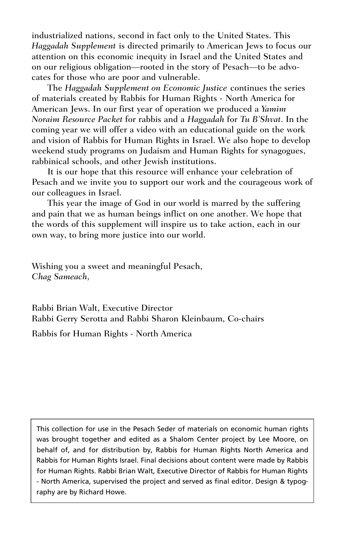industrialized nations, second in fact only to the United States. This *Haggadah Supplement* is directed primarily to American Jews to focus our attention on this economic inequity in Israel and the United States and on our religious obligation—rooted in the story of Pesach—to be advocates for those who are poor and vulnerable.

The *Haggadah Supplement on Economic Justice* continues the series of materials created by Rabbis for Human Rights - North America for American Jews. In our first year of operation we produced a *Yamim Noraim Resource Packet* for rabbis and a *Haggadah* for *Tu B'Shvat*. In the coming year we will offer a video with an educational guide on the work and vision of Rabbis for Human Rights in Israel. We also hope to develop weekend study programs on Judaism and Human Rights for synagogues, rabbinical schools, and other Jewish institutions.

It is our hope that this resource will enhance your celebration of Pesach and we invite you to support our work and the courageous work of our colleagues in Israel.

This year the image of God in our world is marred by the suffering and pain that we as human beings inflict on one another. We hope that the words of this supplement will inspire us to take action, each in our own way, to bring more justice into our world.

Wishing you a sweet and meaningful Pesach, *Chag Sameach,*

Rabbi Brian Walt, Executive Director Rabbi Gerry Serotta and Rabbi Sharon Kleinbaum, Co-chairs Rabbis for Human Rights - North America

This collection for use in the Pesach Seder of materials on economic human rights was brought together and edited as a Shalom Center project by Lee Moore, on behalf of, and for distribution by, Rabbis for Human Rights North America and Rabbis for Human Rights Israel. Final decisions about content were made by Rabbis for Human Rights. Rabbi Brian Walt, Executive Director of Rabbis for Human Rights - North America, supervised the project and served as final editor. Design & typography are by Richard Howe.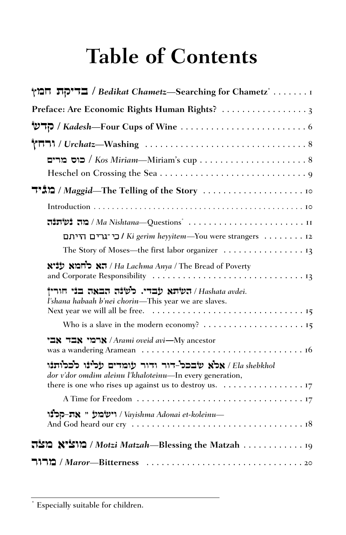# **Table of Contents**

| ן בדיקת חמץ / Bedikat Chametz—Searching for Chametz* 1                                                                                                                                                                                                                                                                                                                                                                 |
|------------------------------------------------------------------------------------------------------------------------------------------------------------------------------------------------------------------------------------------------------------------------------------------------------------------------------------------------------------------------------------------------------------------------|
|                                                                                                                                                                                                                                                                                                                                                                                                                        |
|                                                                                                                                                                                                                                                                                                                                                                                                                        |
| $\uparrow$ $\uparrow$ $\uparrow$ $\uparrow$ $\uparrow$ $\uparrow$ $\uparrow$ $\uparrow$ $\uparrow$ $\uparrow$ $\uparrow$ $\uparrow$ $\uparrow$ $\uparrow$ $\uparrow$ $\uparrow$ $\uparrow$ $\uparrow$ $\uparrow$ $\uparrow$ $\uparrow$ $\uparrow$ $\uparrow$ $\uparrow$ $\uparrow$ $\uparrow$ $\uparrow$ $\uparrow$ $\uparrow$ $\uparrow$ $\uparrow$ $\uparrow$ $\uparrow$ $\uparrow$ $\uparrow$ $\uparrow$ $\uparrow$ |
|                                                                                                                                                                                                                                                                                                                                                                                                                        |
|                                                                                                                                                                                                                                                                                                                                                                                                                        |
|                                                                                                                                                                                                                                                                                                                                                                                                                        |
|                                                                                                                                                                                                                                                                                                                                                                                                                        |
| מה לש'תנה / Ma Nishtana—Questions $\cdot \ldots \ldots \ldots \ldots \ldots \ldots$ II                                                                                                                                                                                                                                                                                                                                 |
| 12 / Et gerim heyyitem—You were strangers / 12                                                                                                                                                                                                                                                                                                                                                                         |
|                                                                                                                                                                                                                                                                                                                                                                                                                        |
| להמא עניא / Ha Lachma Anya / The Bread of Poverty                                                                                                                                                                                                                                                                                                                                                                      |
| / Hashata avdei. לש'תא עבדי. כלש'נה הבאה בני חורי<br>l'shana habaah b'nei chorin-This year we are slaves.<br>Next year we will all be free. $\dots\dots\dots\dots\dots\dots\dots\dots\dots\dots\dots\dots$                                                                                                                                                                                                             |
| Who is a slave in the modern economy? $\dots\dots\dots\dots\dots\dots\dots\dots$                                                                                                                                                                                                                                                                                                                                       |
| ארמי אבד אצי $A$ rami oveid avi—My ancestor<br>was a wandering Aramean $\dots\dots\dots\dots\dots\dots\dots\dots\dots\dots\dots\dots$                                                                                                                                                                                                                                                                                  |
| / Ela shebkhol / אלא שבכל-דור ודור עומדים עלינו לכלותנו<br>dor v'dor omdim aleinu l'khaloteinu-In every generation,<br>there is one who rises up against us to destroy us. $\dots \dots \dots \dots \dots \dots \dots$                                                                                                                                                                                                 |
|                                                                                                                                                                                                                                                                                                                                                                                                                        |
| ישׂמע " את-קלני / Vayishma Adonai et-koleinu—                                                                                                                                                                                                                                                                                                                                                                          |
|                                                                                                                                                                                                                                                                                                                                                                                                                        |
|                                                                                                                                                                                                                                                                                                                                                                                                                        |

<sup>\*</sup> Especially suitable for children.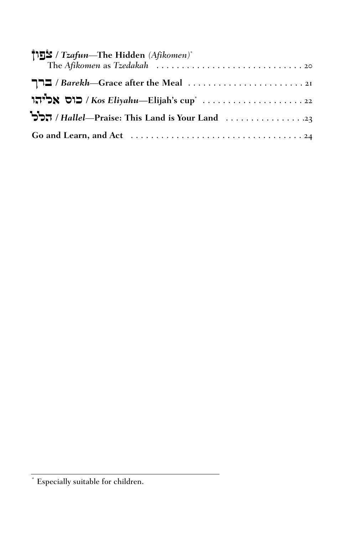| לפון / Tzafun—The Hidden (Afikomen)*                                                                |
|-----------------------------------------------------------------------------------------------------|
|                                                                                                     |
| כוס אליהו / Kos Eliyahu—Elijah's cup <sup>*</sup> 22                                                |
| Hallel—Praise: This Land is Your Land 23                                                            |
| Go and Learn, and Act $\dots\dots\dots\dots\dots\dots\dots\dots\dots\dots\dots\dots\dots\dots\dots$ |

 $\overline{\phantom{a}}$  Especially suitable for children.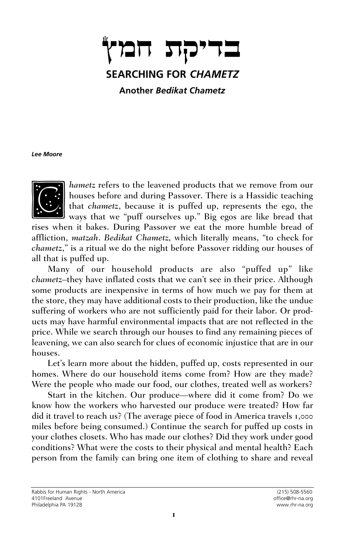# ייקת חבי **SEARCHING FOR** *CHAMETZ*

**Another** *Bedikat Chametz*

*Lee Moore*



*hametz* refers to the leavened products that we remove from our houses before and during Passover. There is a Hassidic teaching that *chametz*, because it is puffed up, represents the ego, the ways that we "puff ourselves up." Big egos are like bread that

rises when it bakes. During Passover we eat the more humble bread of affliction, *matzah*. *Bedikat Chametz*, which literally means, "to check for *chametz*," is a ritual we do the night before Passover ridding our houses of all that is puffed up.

Many of our household products are also "puffed up" like *chametz*–they have inflated costs that we can't see in their price. Although some products are inexpensive in terms of how much we pay for them at the store, they may have additional costs to their production, like the undue suffering of workers who are not sufficiently paid for their labor. Or products may have harmful environmental impacts that are not reflected in the price. While we search through our houses to find any remaining pieces of leavening, we can also search for clues of economic injustice that are in our houses.

Let's learn more about the hidden, puffed up, costs represented in our homes. Where do our household items come from? How are they made? Were the people who made our food, our clothes, treated well as workers?

Start in the kitchen. Our produce—where did it come from? Do we know how the workers who harvested our produce were treated? How far did it travel to reach us? (The average piece of food in America travels 1,000 miles before being consumed.) Continue the search for puffed up costs in your clothes closets. Who has made our clothes? Did they work under good conditions? What were the costs to their physical and mental health? Each person from the family can bring one item of clothing to share and reveal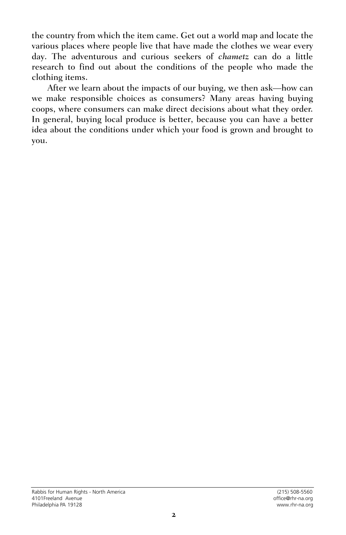the country from which the item came. Get out a world map and locate the various places where people live that have made the clothes we wear every day. The adventurous and curious seekers of *chametz* can do a little research to find out about the conditions of the people who made the clothing items.

After we learn about the impacts of our buying, we then ask—how can we make responsible choices as consumers? Many areas having buying coops, where consumers can make direct decisions about what they order. In general, buying local produce is better, because you can have a better idea about the conditions under which your food is grown and brought to you.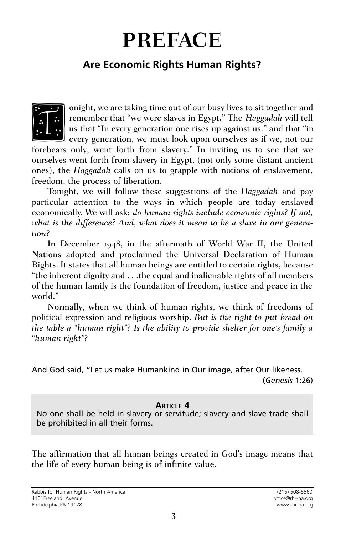# **PREFACE**

### **Are Economic Rights Human Rights?**



onight, we are taking time out of our busy lives to sit together and remember that "we were slaves in Egypt." The *Haggadah* will tell us that "In every generation one rises up against us." and that "in every generation, we must look upon ourselves as if we, not our

forebears only, went forth from slavery." In inviting us to see that we ourselves went forth from slavery in Egypt, (not only some distant ancient ones), the *Haggadah* calls on us to grapple with notions of enslavement, freedom, the process of liberation.

Tonight, we will follow these suggestions of the *Haggadah* and pay particular attention to the ways in which people are today enslaved economically. We will ask: *do human rights include economic rights? If not, what is the difference? And, what does it mean to be a slave in our generation?*

In December 1948, in the aftermath of World War II, the United Nations adopted and proclaimed the Universal Declaration of Human Rights. It states that all human beings are entitled to certain rights, because "the inherent dignity and . . .the equal and inalienable rights of all members of the human family is the foundation of freedom, justice and peace in the world."

Normally, when we think of human rights, we think of freedoms of political expression and religious worship. *But is the right to put bread on the table a "human right"? Is the ability to provide shelter for one's family a "human right"?*

And God said, "Let us make Humankind in Our image, after Our likeness. (*Genesis* 1:26)

### **ARTICLE 4**

No one shall be held in slavery or servitude; slavery and slave trade shall be prohibited in all their forms.

The affirmation that all human beings created in God's image means that the life of every human being is of infinite value.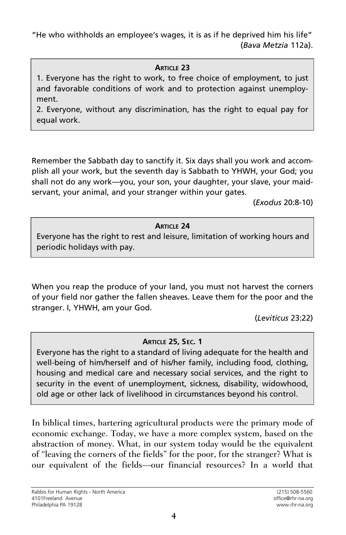"He who withholds an employee's wages, it is as if he deprived him his life" (*Bava Metzia* 112a).

### **ARTICLE 23**

1. Everyone has the right to work, to free choice of employment, to just and favorable conditions of work and to protection against unemployment.

2. Everyone, without any discrimination, has the right to equal pay for equal work.

Remember the Sabbath day to sanctify it. Six days shall you work and accomplish all your work, but the seventh day is Sabbath to YHWH, your God; you shall not do any work—you, your son, your daughter, your slave, your maidservant, your animal, and your stranger within your gates.

(*Exodus* 20:8-10)

### **ARTICLE 24**

Everyone has the right to rest and leisure, limitation of working hours and periodic holidays with pay.

When you reap the produce of your land, you must not harvest the corners of your field nor gather the fallen sheaves. Leave them for the poor and the stranger. I, YHWH, am your God.

(*Leviticus* 23:22)

### **ARTICLE 25, SEC. 1**

Everyone has the right to a standard of living adequate for the health and well-being of him/herself and of his/her family, including food, clothing, housing and medical care and necessary social services, and the right to security in the event of unemployment, sickness, disability, widowhood, old age or other lack of livelihood in circumstances beyond his control.

In biblical times, bartering agricultural products were the primary mode of economic exchange. Today, we have a more complex system, based on the abstraction of money. What, in our system today would be the equivalent of "leaving the corners of the fields" for the poor, for the stranger? What is our equivalent of the fields—our financial resources? In a world that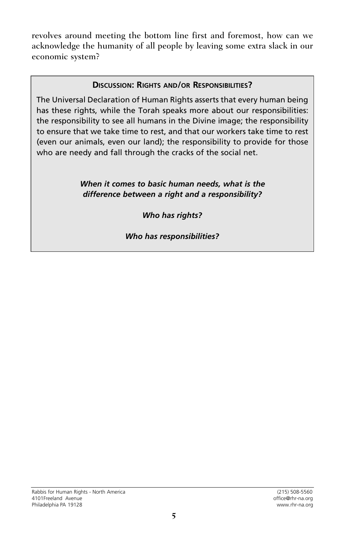revolves around meeting the bottom line first and foremost, how can we acknowledge the humanity of all people by leaving some extra slack in our economic system?

### **DISCUSSION: RIGHTS AND/OR RESPONSIBILITIES?**

The Universal Declaration of Human Rights asserts that every human being has these rights, while the Torah speaks more about our responsibilities: the responsibility to see all humans in the Divine image; the responsibility to ensure that we take time to rest, and that our workers take time to rest (even our animals, even our land); the responsibility to provide for those who are needy and fall through the cracks of the social net.

> *When it comes to basic human needs, what is the difference between a right and a responsibility?*

> > *Who has rights?*

### *Who has responsibilities?*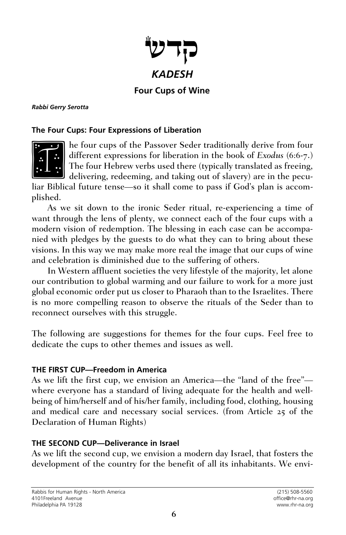

*Rabbi Gerry Serotta*

### **The Four Cups: Four Expressions of Liberation**



he four cups of the Passover Seder traditionally derive from four different expressions for liberation in the book of *Exodus* (6:6-7.) The four Hebrew verbs used there (typically translated as freeing, delivering, redeeming, and taking out of slavery) are in the pecu-

liar Biblical future tense—so it shall come to pass if God's plan is accomplished.

As we sit down to the ironic Seder ritual, re-experiencing a time of want through the lens of plenty, we connect each of the four cups with a modern vision of redemption. The blessing in each case can be accompanied with pledges by the guests to do what they can to bring about these visions. In this way we may make more real the image that our cups of wine and celebration is diminished due to the suffering of others.

In Western affluent societies the very lifestyle of the majority, let alone our contribution to global warming and our failure to work for a more just global economic order put us closer to Pharaoh than to the Israelites. There is no more compelling reason to observe the rituals of the Seder than to reconnect ourselves with this struggle.

The following are suggestions for themes for the four cups. Feel free to dedicate the cups to other themes and issues as well.

### **THE FIRST CUP—Freedom in America**

As we lift the first cup, we envision an America—the "land of the free" where everyone has a standard of living adequate for the health and wellbeing of him/herself and of his/her family, including food, clothing, housing and medical care and necessary social services. (from Article 25 of the Declaration of Human Rights)

### **THE SECOND CUP—Deliverance in Israel**

As we lift the second cup, we envision a modern day Israel, that fosters the development of the country for the benefit of all its inhabitants. We envi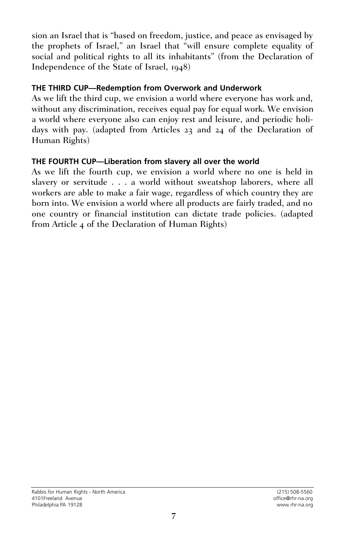sion an Israel that is "based on freedom, justice, and peace as envisaged by the prophets of Israel," an Israel that "will ensure complete equality of social and political rights to all its inhabitants" (from the Declaration of Independence of the State of Israel, 1948)

### **THE THIRD CUP—Redemption from Overwork and Underwork**

As we lift the third cup, we envision a world where everyone has work and, without any discrimination, receives equal pay for equal work. We envision a world where everyone also can enjoy rest and leisure, and periodic holidays with pay. (adapted from Articles 23 and 24 of the Declaration of Human Rights)

### **THE FOURTH CUP—Liberation from slavery all over the world**

As we lift the fourth cup, we envision a world where no one is held in slavery or servitude . . . a world without sweatshop laborers, where all workers are able to make a fair wage, regardless of which country they are born into. We envision a world where all products are fairly traded, and no one country or financial institution can dictate trade policies. (adapted from Article 4 of the Declaration of Human Rights)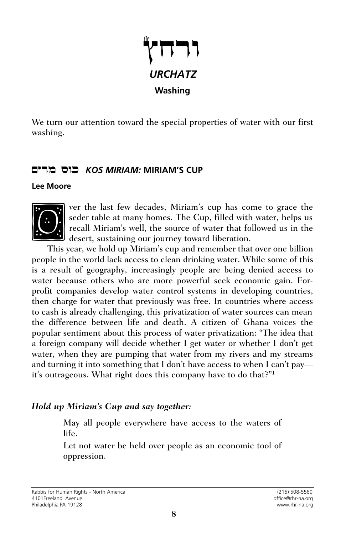

We turn our attention toward the special properties of water with our first washing.

### *KOS MIRIAM:* **MIRIAM'S CUP**

### **Lee Moore**



ver the last few decades, Miriam's cup has come to grace the seder table at many homes. The Cup, filled with water, helps us recall Miriam's well, the source of water that followed us in the desert, sustaining our journey toward liberation.

This year, we hold up Miriam's cup and remember that over one billion people in the world lack access to clean drinking water. While some of this is a result of geography, increasingly people are being denied access to water because others who are more powerful seek economic gain. Forprofit companies develop water control systems in developing countries, then charge for water that previously was free. In countries where access to cash is already challenging, this privatization of water sources can mean the difference between life and death. A citizen of Ghana voices the popular sentiment about this process of water privatization: "The idea that a foreign company will decide whether I get water or whether I don't get water, when they are pumping that water from my rivers and my streams and turning it into something that I don't have access to when I can't pay it's outrageous. What right does this company have to do that?"<sup>1</sup>

### *Hold up Miriam's Cup and say together:*

May all people everywhere have access to the waters of life.

Let not water be held over people as an economic tool of oppression.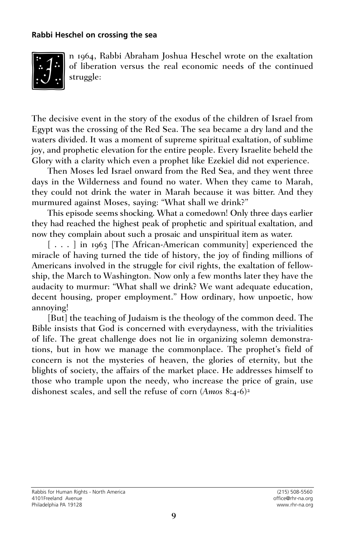### **Rabbi Heschel on crossing the sea**



n 1964, Rabbi Abraham Joshua Heschel wrote on the exaltation of liberation versus the real economic needs of the continued struggle:

The decisive event in the story of the exodus of the children of Israel from Egypt was the crossing of the Red Sea. The sea became a dry land and the waters divided. It was a moment of supreme spiritual exaltation, of sublime joy, and prophetic elevation for the entire people. Every Israelite beheld the Glory with a clarity which even a prophet like Ezekiel did not experience.

Then Moses led Israel onward from the Red Sea, and they went three days in the Wilderness and found no water. When they came to Marah, they could not drink the water in Marah because it was bitter. And they murmured against Moses, saying: "What shall we drink?"

This episode seems shocking. What a comedown! Only three days earlier they had reached the highest peak of prophetic and spiritual exaltation, and now they complain about such a prosaic and unspiritual item as water.

[...] in 1963 [The African-American community] experienced the miracle of having turned the tide of history, the joy of finding millions of Americans involved in the struggle for civil rights, the exaltation of fellowship, the March to Washington. Now only a few months later they have the audacity to murmur: "What shall we drink? We want adequate education, decent housing, proper employment." How ordinary, how unpoetic, how annoying!

[But] the teaching of Judaism is the theology of the common deed. The Bible insists that God is concerned with everydayness, with the trivialities of life. The great challenge does not lie in organizing solemn demonstrations, but in how we manage the commonplace. The prophet's field of concern is not the mysteries of heaven, the glories of eternity, but the blights of society, the affairs of the market place. He addresses himself to those who trample upon the needy, who increase the price of grain, use dishonest scales, and sell the refuse of corn (*Amos* 8:4-6) 2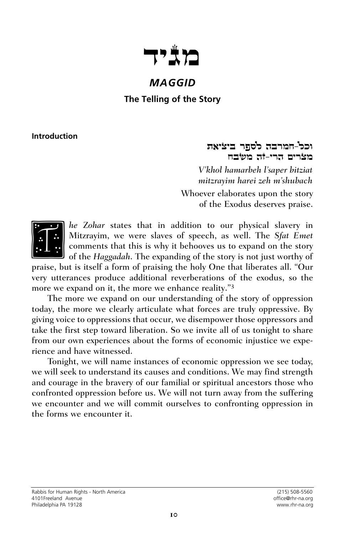

### *M A G G I D*

**The Telling of the Story**

**Introduction**

### וכל-חמרבה לספר ביציאת מצרים הרי-זה משבח

*V'khol hamarbeh l'saper bitziat mitzrayim harei zeh m'shubach* Whoever elaborates upon the story of the Exodus deserves praise.



*he Zohar* states that in addition to our physical slavery in Mitzrayim, we were slaves of speech, as well. The *Sfat Emet* comments that this is why it behooves us to expand on the story of the *Haggadah*. The expanding of the story is not just worthy of

praise, but is itself a form of praising the holy One that liberates all. "Our very utterances produce additional reverberations of the exodus, so the more we expand on it, the more we enhance reality."<sup>3</sup>

The more we expand on our understanding of the story of oppression today, the more we clearly articulate what forces are truly oppressive. By giving voice to oppressions that occur, we disempower those oppressors and take the first step toward liberation. So we invite all of us tonight to share from our own experiences about the forms of economic injustice we experience and have witnessed.

Tonight, we will name instances of economic oppression we see today, we will seek to understand its causes and conditions. We may find strength and courage in the bravery of our familial or spiritual ancestors those who confronted oppression before us. We will not turn away from the suffering we encounter and we will commit ourselves to confronting oppression in the forms we encounter it.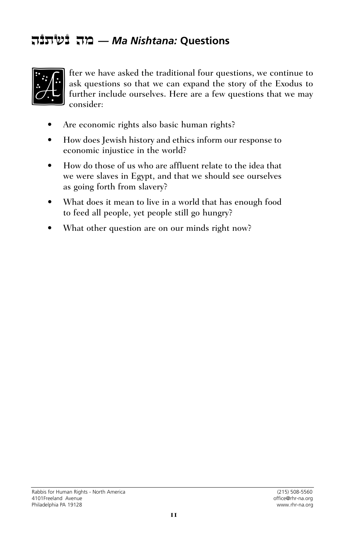### *— Ma Nishtana:* **Questions**



fter we have asked the traditional four questions, we continue to ask questions so that we can expand the story of the Exodus to further include ourselves. Here are a few questions that we may consider:

- Are economic rights also basic human rights?
- How does Jewish history and ethics inform our response to economic injustice in the world?
- How do those of us who are affluent relate to the idea that we were slaves in Egypt, and that we should see ourselves as going forth from slavery?
- What does it mean to live in a world that has enough food to feed all people, yet people still go hungry?
- What other question are on our minds right now?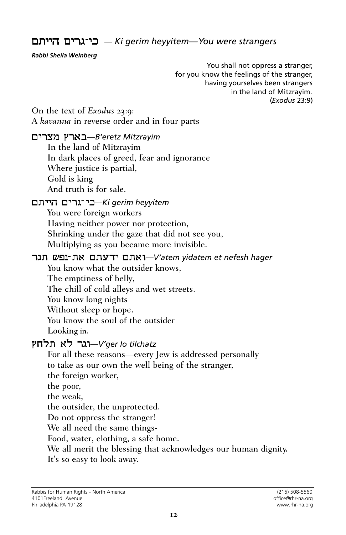### *— Ki gerim heyyitem—You were strangers*

*Rabbi Sheila Weinberg*

You shall not oppress a stranger, for you know the feelings of the stranger, having yourselves been strangers in the land of Mitzrayim. (*Exodus* 23:9)

On the text of *Exodus* 23:9: A *kavanna* in reverse order and in four parts

### *—B'eretz Mitzrayim*

In the land of Mitzrayim In dark places of greed, fear and ignorance Where justice is partial, Gold is king And truth is for sale.

### *—Ki gerim heyyitem*

You were foreign workers Having neither power nor protection, Shrinking under the gaze that did not see you, Multiplying as you became more invisible.

### *—V'atem yidatem et nefesh hager*

You know what the outsider knows,

The emptiness of belly,

The chill of cold alleys and wet streets.

You know long nights

Without sleep or hope.

You know the soul of the outsider

Looking in.

### *—V'ger lo tilchatz*

For all these reasons—every Jew is addressed personally

to take as our own the well being of the stranger,

the foreign worker,

the poor,

the weak,

the outsider, the unprotected.

Do not oppress the stranger!

We all need the same things-

Food, water, clothing, a safe home.

We all merit the blessing that acknowledges our human dignity.

It's so easy to look away.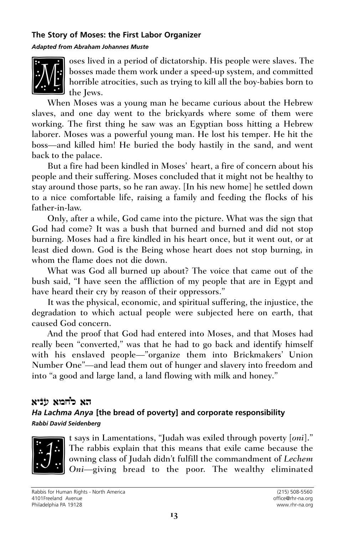### **The Story of Moses: the First Labor Organizer**

*Adapted from Abraham Johannes Muste*



oses lived in a period of dictatorship. His people were slaves. The bosses made them work under a speed-up system, and committed horrible atrocities, such as trying to kill all the boy-babies born to the Jews.

When Moses was a young man he became curious about the Hebrew slaves, and one day went to the brickyards where some of them were working. The first thing he saw was an Egyptian boss hitting a Hebrew laborer. Moses was a powerful young man. He lost his temper. He hit the boss—and killed him! He buried the body hastily in the sand, and went back to the palace.

But a fire had been kindled in Moses' heart, a fire of concern about his people and their suffering. Moses concluded that it might not be healthy to stay around those parts, so he ran away. [In his new home] he settled down to a nice comfortable life, raising a family and feeding the flocks of his father-in-law.

Only, after a while, God came into the picture. What was the sign that God had come? It was a bush that burned and burned and did not stop burning. Moses had a fire kindled in his heart once, but it went out, or at least died down. God is the Being whose heart does not stop burning, in whom the flame does not die down.

What was God all burned up about? The voice that came out of the bush said, "I have seen the affliction of my people that are in Egypt and have heard their cry by reason of their oppressors."

It was the physical, economic, and spiritual suffering, the injustice, the degradation to which actual people were subjected here on earth, that caused God concern.

And the proof that God had entered into Moses, and that Moses had really been "converted," was that he had to go back and identify himself with his enslaved people—"organize them into Brickmakers' Union Number One"—and lead them out of hunger and slavery into freedom and into "a good and large land, a land flowing with milk and honey."

### הא לחמא עניא

### *Ha Lachma Anya* **[the bread of poverty] and corporate responsibility** *Rabbi David Seidenberg*



t says in Lamentations, "Judah was exiled through poverty [*oni*]." The rabbis explain that this means that exile came because the owning class of Judah didn't fulfill the commandment of *Lechem* Oni-giving bread to the poor. The wealthy eliminated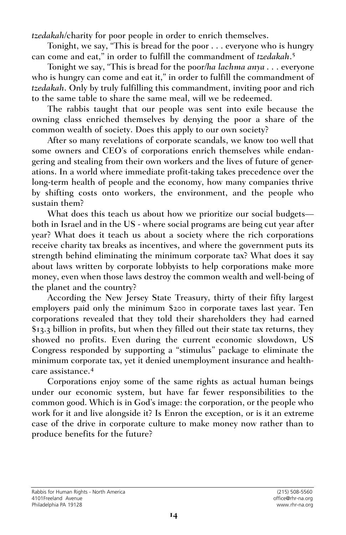*tzedakah*/charity for poor people in order to enrich themselves.

Tonight, we say, "This is bread for the poor . . . everyone who is hungry can come and eat," in order to fulfill the commandment of *tzedakah*. 5

Tonight we say, "This is bread for the poor/*ha lachma anya* . . . everyone who is hungry can come and eat it," in order to fulfill the commandment of *tzedakah*. Only by truly fulfilling this commandment, inviting poor and rich to the same table to share the same meal, will we be redeemed.

The rabbis taught that our people was sent into exile because the owning class enriched themselves by denying the poor a share of the common wealth of society. Does this apply to our own society?

After so many revelations of corporate scandals, we know too well that some owners and CEO's of corporations enrich themselves while endangering and stealing from their own workers and the lives of future of generations. In a world where immediate profit-taking takes precedence over the long-term health of people and the economy, how many companies thrive by shifting costs onto workers, the environment, and the people who sustain them?

What does this teach us about how we prioritize our social budgets both in Israel and in the US - where social programs are being cut year after year? What does it teach us about a society where the rich corporations receive charity tax breaks as incentives, and where the government puts its strength behind eliminating the minimum corporate tax? What does it say about laws written by corporate lobbyists to help corporations make more money, even when those laws destroy the common wealth and well-being of the planet and the country?

According the New Jersey State Treasury, thirty of their fifty largest employers paid only the minimum \$200 in corporate taxes last year. Ten corporations revealed that they told their shareholders they had earned \$13.3 billion in profits, but when they filled out their state tax returns, they showed no profits. Even during the current economic slowdown, US Congress responded by supporting a "stimulus" package to eliminate the minimum corporate tax, yet it denied unemployment insurance and healthcare assistance.<sup>4</sup>

Corporations enjoy some of the same rights as actual human beings under our economic system, but have far fewer responsibilities to the common good. Which is in God's image: the corporation, or the people who work for it and live alongside it? Is Enron the exception, or is it an extreme case of the drive in corporate culture to make money now rather than to produce benefits for the future?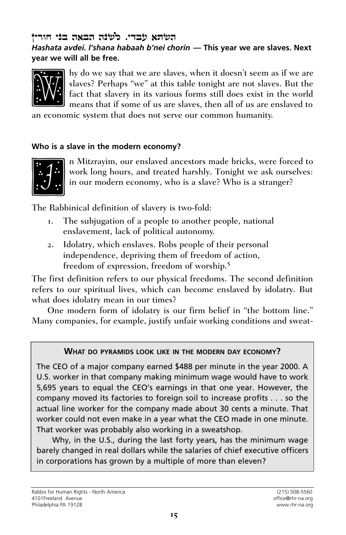### השתא עבדי. כ<sup>ו</sup>שנה הבאה בני חורי<del>ו</del>

*Hashata avdei. l'shana habaah b'nei chorin* **— This year we are slaves. Next year we will all be free.**



hy do we say that we are slaves, when it doesn't seem as if we are slaves? Perhaps "we" at this table tonight are not slaves. But the fact that slavery in its various forms still does exist in the world means that if some of us are slaves, then all of us are enslaved to

an economic system that does not serve our common humanity.

### **Who is a slave in the modern economy?**



n Mitzrayim, our enslaved ancestors made bricks, were forced to work long hours, and treated harshly. Tonight we ask ourselves: in our modern economy, who is a slave? Who is a stranger?

The Rabbinical definition of slavery is two-fold:

- 1. The subjugation of a people to another people, national enslavement, lack of political autonomy.
- 2. Idolatry, which enslaves. Robs people of their personal independence, depriving them of freedom of action, freedom of expression, freedom of worship.<sup>5</sup>

The first definition refers to our physical freedoms. The second definition refers to our spiritual lives, which can become enslaved by idolatry. But what does idolatry mean in our times?

One modern form of idolatry is our firm belief in "the bottom line." Many companies, for example, justify unfair working conditions and sweat-

### **WHAT DO PYRAMIDS LOOK LIKE IN THE MODERN DAY ECONOMY?**

The CEO of a major company earned \$488 per minute in the year 2000. A U.S. worker in that company making minimum wage would have to work 5,695 years to equal the CEO's earnings in that one year. However, the company moved its factories to foreign soil to increase profits . . . so the actual line worker for the company made about 30 cents a minute. That worker could not even make in a year what the CEO made in one minute. That worker was probably also working in a sweatshop.

Why, in the U.S., during the last forty years, has the minimum wage barely changed in real dollars while the salaries of chief executive officers in corporations has grown by a multiple of more than eleven?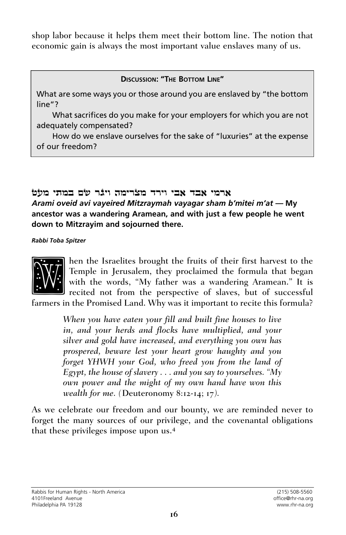shop labor because it helps them meet their bottom line. The notion that economic gain is always the most important value enslaves many of us.

### **DISCUSSION: "THE BOTTOM LINE"**

What are some ways you or those around you are enslaved by "the bottom line"?

What sacrifices do you make for your employers for which you are not adequately compensated?

How do we enslave ourselves for the sake of "luxuries" at the expense of our freedom?

### ארמי אבד אבי וירד מצרימה ויגֿר שם במתי מעט *Arami oveid avi vayeired Mitzraymah vayagar sham b'mitei m'at —* **My ancestor was a wandering Aramean, and with just a few people he went down to Mitzrayim and sojourned there.**

*Rabbi Toba Spitzer*



hen the Israelites brought the fruits of their first harvest to the Temple in Jerusalem, they proclaimed the formula that began with the words, "My father was a wandering Aramean." It is recited not from the perspective of slaves, but of successful

farmers in the Promised Land. Why was it important to recite this formula?

*When you have eaten your fill and built fine houses to live in, and your herds and flocks have multiplied, and your silver and gold have increased, and everything you own has prospered, beware lest your heart grow haughty and you forget YHWH your God, who freed you from the land of Egypt, the house of slavery . . . and you say to yourselves. "My own power and the might of my own hand have won this wealth for me. (*Deuteronomy 8:12-14; 17*).*

As we celebrate our freedom and our bounty, we are reminded never to forget the many sources of our privilege, and the covenantal obligations that these privileges impose upon us.<sup>4</sup>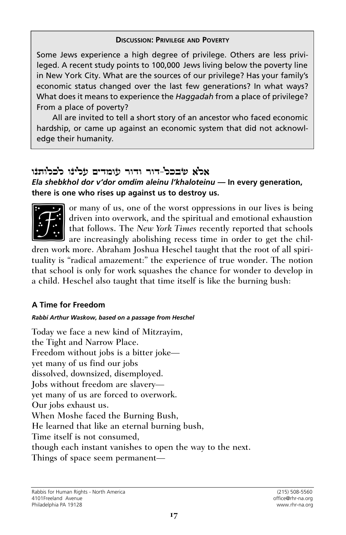### **DISCUSSION: PRIVILEGE AND POVERTY**

Some Jews experience a high degree of privilege. Others are less privileged. A recent study points to 100,000 Jews living below the poverty line in New York City. What are the sources of our privilege? Has your family's economic status changed over the last few generations? In what ways? What does it means to experience the *Haggadah* from a place of privilege? From a place of poverty?

All are invited to tell a short story of an ancestor who faced economic hardship, or came up against an economic system that did not acknowledge their humanity.

### אלא שבכל-דור ודור עומדים עלינו לכלותנו *Ela shebkhol dor v'dor omdim aleinu l'khaloteinu —* **In every generation, there is one who rises up against us to destroy us.**



or many of us, one of the worst oppressions in our lives is being driven into overwork, and the spiritual and emotional exhaustion that follows. The *New York Times* recently reported that schools are increasingly abolishing recess time in order to get the chil-

dren work more. Abraham Joshua Heschel taught that the root of all spirituality is "radical amazement:" the experience of true wonder. The notion that school is only for work squashes the chance for wonder to develop in a child. Heschel also taught that time itself is like the burning bush:

### **A Time for Freedom**

### *Rabbi Arthur Waskow, based on a passage from Heschel*

Today we face a new kind of Mitzrayim, the Tight and Narrow Place. Freedom without jobs is a bitter joke yet many of us find our jobs dissolved, downsized, disemployed. Jobs without freedom are slavery yet many of us are forced to overwork. Our jobs exhaust us. When Moshe faced the Burning Bush, He learned that like an eternal burning bush, Time itself is not consumed, though each instant vanishes to open the way to the next. Things of space seem permanent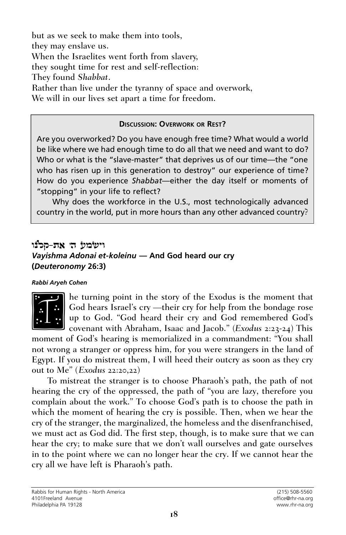but as we seek to make them into tools, they may enslave us. When the Israelites went forth from slavery, they sought time for rest and self-reflection: They found *Shabbat*. Rather than live under the tyranny of space and overwork, We will in our lives set apart a time for freedom.

### **DISCUSSION: OVERWORK OR REST?**

Are you overworked? Do you have enough free time? What would a world be like where we had enough time to do all that we need and want to do? Who or what is the "slave-master" that deprives us of our time—the "one who has risen up in this generation to destroy" our experience of time? How do you experience *Shabbat*—either the day itself or moments of "stopping" in your life to reflect?

Why does the workforce in the U.S., most technologically advanced country in the world, put in more hours than any other advanced country?

### וישמע הי את-קכנו *Vayishma Adonai et-koleinu* **— And God heard our cry (***Deuteronomy* **26:3)**

### *Rabbi Aryeh Cohen*



he turning point in the story of the Exodus is the moment that God hears Israel's cry —their cry for help from the bondage rose up to God. "God heard their cry and God remembered God's covenant with Abraham, Isaac and Jacob." (*Exodus* 2:23-24) This

moment of God's hearing is memorialized in a commandment: "You shall not wrong a stranger or oppress him, for you were strangers in the land of Egypt. If you do mistreat them, I will heed their outcry as soon as they cry out to Me" (*Exodus* 22:20,22)

To mistreat the stranger is to choose Pharaoh's path, the path of not hearing the cry of the oppressed, the path of "you are lazy, therefore you complain about the work." To choose God's path is to choose the path in which the moment of hearing the cry is possible. Then, when we hear the cry of the stranger, the marginalized, the homeless and the disenfranchised, we must act as God did. The first step, though, is to make sure that we can hear the cry; to make sure that we don't wall ourselves and gate ourselves in to the point where we can no longer hear the cry. If we cannot hear the cry all we have left is Pharaoh's path.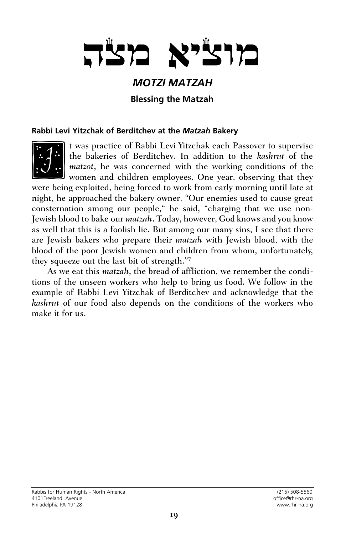## מוציא א מצו

### *MOTZI MATZAH*

**Blessing the Matzah**

### **Rabbi Levi Yitzchak of Berditchev at the** *Matzah* **Bakery**



t was practice of Rabbi Levi Yitzchak each Passover to supervise the bakeries of Berditchev. In addition to the *kashrut* of the *matzot*, he was concerned with the working conditions of the women and children employees. One year, observing that they

were being exploited, being forced to work from early morning until late at night, he approached the bakery owner. "Our enemies used to cause great consternation among our people," he said, "charging that we use non-Jewish blood to bake our *matzah*. Today, however, God knows and you know as well that this is a foolish lie. But among our many sins, I see that there are Jewish bakers who prepare their *matzah* with Jewish blood, with the blood of the poor Jewish women and children from whom, unfortunately, they squeeze out the last bit of strength."<sup>7</sup>

As we eat this *matzah*, the bread of affliction, we remember the conditions of the unseen workers who help to bring us food. We follow in the example of Rabbi Levi Yitzchak of Berditchev and acknowledge that the *kashrut* of our food also depends on the conditions of the workers who make it for us.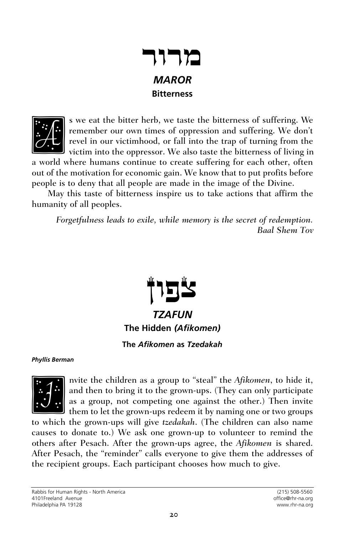



s we eat the bitter herb, we taste the bitterness of suffering. We remember our own times of oppression and suffering. We don't revel in our victimhood, or fall into the trap of turning from the victim into the oppressor. We also taste the bitterness of living in

a world where humans continue to create suffering for each other, often out of the motivation for economic gain. We know that to put profits before people is to deny that all people are made in the image of the Divine.

May this taste of bitterness inspire us to take actions that affirm the humanity of all peoples.

*Forgetfulness leads to exile, while memory is the secret of redemption. Baal Shem Tov*



### **The Hidden** *(Afikomen)*

**The** *Afikomen* **as** *Tzedakah*

*Phyllis Berman* 



nvite the children as a group to "steal" the *Afikomen*, to hide it, and then to bring it to the grown-ups. (They can only participate as a group, not competing one against the other.) Then invite them to let the grown-ups redeem it by naming one or two groups

to which the grown-ups will give *tzedakah*. (The children can also name causes to donate to.) We ask one grown-up to volunteer to remind the others after Pesach. After the grown-ups agree, the *Afikomen* is shared. After Pesach, the "reminder" calls everyone to give them the addresses of the recipient groups. Each participant chooses how much to give.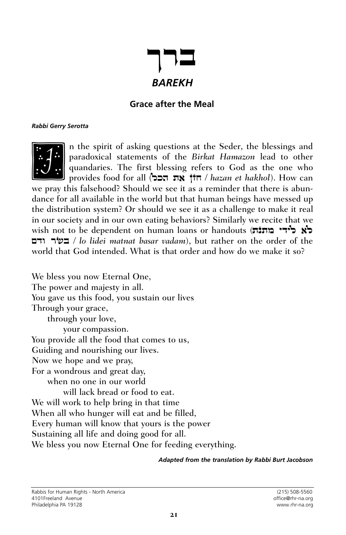

### **Grace after the Meal**

### *Rabbi Gerry Serotta*



n the spirit of asking questions at the Seder, the blessings and paradoxical statements of the *Birkat Hamazon* lead to other quandaries. The first blessing refers to God as the one who provides food for all ( / *hazan et hakhol*). How can

we pray this falsehood? Should we see it as a reminder that there is abundance for all available in the world but that human beings have messed up the distribution system? Or should we see it as a challenge to make it real in our society and in our own eating behaviors? Similarly we recite that we wish not to be dependent on human loans or handouts ( / *lo lidei matnat basar vadam*), but rather on the order of the world that God intended. What is that order and how do we make it so?

We bless you now Eternal One, The power and majesty in all. You gave us this food, you sustain our lives Through your grace, through your love, your compassion. You provide all the food that comes to us, Guiding and nourishing our lives. Now we hope and we pray, For a wondrous and great day, when no one in our world will lack bread or food to eat. We will work to help bring in that time When all who hunger will eat and be filled, Every human will know that yours is the power Sustaining all life and doing good for all. We bless you now Eternal One for feeding everything.

### *Adapted from the translation by Rabbi Burt Jacobson*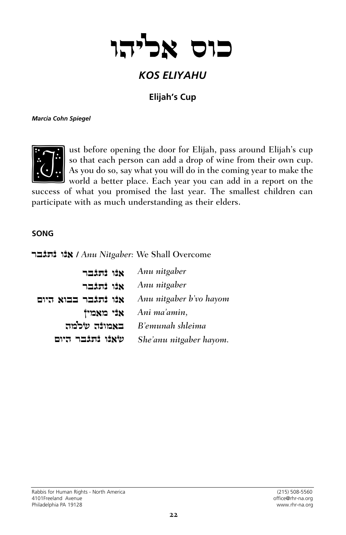

### *KOS ELIYAHU*

**Elijah's Cup**

*Marcia Cohn Spiegel*



ust before opening the door for Elijah, pass around Elijah's cup so that each person can add a drop of wine from their own cup. As you do so, say what you will do in the coming year to make the world a better place. Each year you can add in a report on the

success of what you promised the last year. The smallest children can participate with as much understanding as their elders.

### **SONG**

**/** *Anu Nitgaber:* We Shall Overcome

| אנו נתגבר           | Anu nitgaber            |
|---------------------|-------------------------|
| אנו נתגבר           | Anu nitgaber            |
| אנו נתגבר בבוא היום | Anu nitgaber b'vo hayom |
| אני מאמי†           | Ani ma'amin,            |
| באמונה שלמה         | B'emunah shleima        |
| שׂאנו נתגבר היום    | She'anu nitgaber hayom. |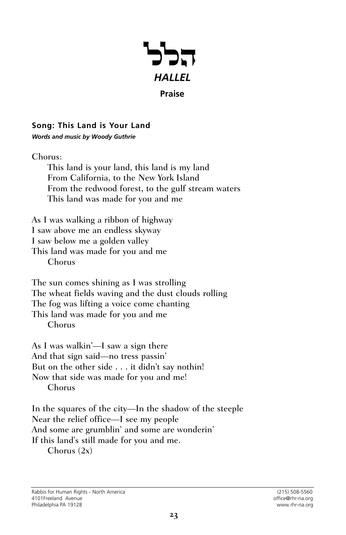

### **Song: This Land is Your Land** *Words and music by Woody Guthrie*

### Chorus:

This land is your land, this land is my land From California, to the New York Island From the redwood forest, to the gulf stream waters This land was made for you and me

As I was walking a ribbon of highway I saw above me an endless skyway I saw below me a golden valley This land was made for you and me Chorus

The sun comes shining as I was strolling The wheat fields waving and the dust clouds rolling The fog was lifting a voice come chanting This land was made for you and me Chorus

As I was walkin'—I saw a sign there And that sign said—no tress passin' But on the other side . . . it didn't say nothin! Now that side was made for you and me! Chorus

In the squares of the city—In the shadow of the steeple Near the relief office—I see my people And some are grumblin' and some are wonderin' If this land's still made for you and me.

Chorus (2x)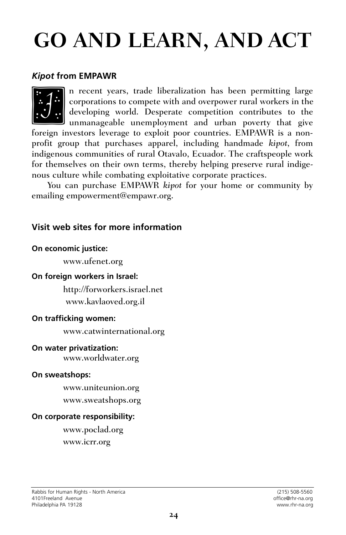# **GO AND LEARN, AND ACT**

### *Kipot* **from EMPAWR**

n recent years, trade liberalization has been permitting large corporations to compete with and overpower rural workers in the developing world. Desperate competition contributes to the unmanageable unemployment and urban poverty that give foreign investors leverage to exploit poor countries. EMPAWR is a nonprofit group that purchases apparel, including handmade *kipot*, from indigenous communities of rural Otavalo, Ecuador. The craftspeople work for themselves on their own terms, thereby helping preserve rural indigenous culture while combating exploitative corporate practices.  $\left[\begin{array}{c} \therefore \ \therefore \ \end{array}\right]$ 

You can purchase EMPAWR *kipot* for your home or community by emailing empowerment@empawr.org.

### **Visit web sites for more information**

### **On economic justice:**

www.ufenet.org

### **On foreign workers in Israel:**

http://forworkers.israel.net www.kavlaoved.org.il

### **On trafficking women:**

www.catwinternational.org

### **On water privatization:**

www.worldwater.org

### **On sweatshops:**

www.uniteunion.org www.sweatshops.org

### **On corporate responsibility:**

www.poclad.org www.icrr.org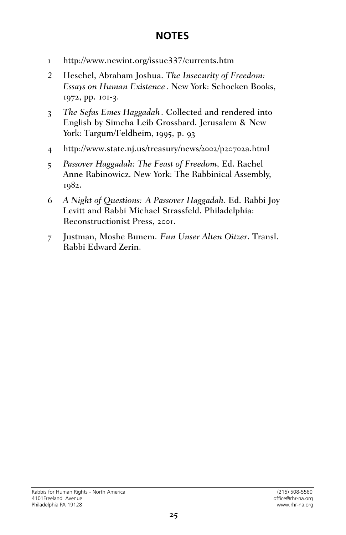### **NOTES**

- 1 http://www.newint.org/issue337/currents.htm
- *2* Heschel, Abraham Joshua. *The Insecurity of Freedom: Essays on Human Existence* . New York: Schocken Books, 1972, pp. 101-3.
- 3 *The Sefas Emes Haggadah*. Collected and rendered into English by Simcha Leib Grossbard. Jerusalem & New York: Targum/Feldheim, 1995, p. 93
- 4 http://www.state.nj.us/treasury/news/2002/p20702a.html
- 5 *Passover Haggadah: The Feast of Freedom*, Ed. Rachel Anne Rabinowicz. New York: The Rabbinical Assembly, 1982.
- 6 *A Night of Questions: A Passover Haggadah*. Ed. Rabbi Joy Levitt and Rabbi Michael Strassfeld. Philadelphia: Reconstructionist Press, 2001.
- 7 Justman, Moshe Bunem. *Fun Unser Alten Oitzer*. Transl. Rabbi Edward Zerin.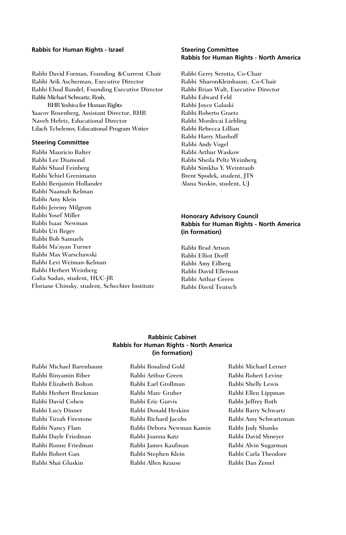### **Rabbis for Human Rights - Israel**

Rabbi David Forman, Founding &Current Chair Rabbi Arik Ascherman, Executive Director Rabbi Ehud Bandel, Founding Executive Director Rabbi Michael Schwartz, Rosh, RHR Yeshiva for Human Rights Yaacov Rosenberg, Assistant Director, RHR Naveh Hefetz, Educational Director

Lilach Tchelenov, Educational Program Writer

### **Steering Committee**

Rabbi Mauricio Balter Rabbi Lee Diamond Rabbi Shaul Feinberg Rabbi Yehiel Grenimann Rabbi Benjamin Hollander Rabbi Naamah Kelman Rabbi Amy Klein Rabbi Jeremy Milgrom Rabbi Yosef Miller Rabbi Isaac Newman Rabbi Uri Regev Rabbi Bob Samuels Rabbi Ma'ayan Turner Rabbi Max Warschawski Rabbi Levi Weiman-Kelman Rabbi Herbert Weinberg Galia Sadan, student, HUC-JR Floriane Chinsky, student, Schechter Institute

### **Steering Committee Rabbis for Human Rights - North America**

Rabbi Gerry Serotta, Co-Chair Rabbi SharonKleinbaum, Co-Chair Rabbi Brian Walt, Executive Director Rabbi Edward Feld Rabbi Joyce Galaski Rabbi Roberto Graetz Rabbi Mordecai Liebling Rabbi Rebecca Lillian Rabbi Harry Manhoff Rabbi Andy Vogel Rabbi Arthur Waskow Rabbi Sheila Peltz Weinberg Rabbi Simkha Y. Weintraub Brent Spodek, student, JTS Alana Suskin, student, UJ

### **Honorary Advisory Council Rabbis for Human Rights - North America (in formation)**

Rabbi Brad Artson Rabbi Elliot Dorff Rabbi Amy Eilberg Rabbi David Ellenson Rabbi Arthur Green Rabbi David Teutsch

### **Rabbinic Cabinet Rabbis for Human Rights - North America (in formation)**

Rabbi Michael Barenbaum Rabbi Binyamin Biber Rabbi Elizabeth Bolton Rabbi Herbert Brockman Rabbi David Cohen Rabbi Lucy Dinner Rabbi Tirzah Firestone Rabbi Nancy Flam Rabbi Dayle Friedman Rabbi Ronne Friedman Rabbi Robert Gan Rabbi Shai Gluskin

Rabbi Rosalind Gold Rabbi Arthur Green Rabbi Earl Grollman Rabbi Marc Gruber Rabbi Eric Gurvis Rabbi Donald Heskins Rabbi Richard Jacobs Rabbi Debora Newman Kamin Rabbi Joanna Katz Rabbi James Kaufman Rabbi Stephen Klein Rabbi Allen Krause

Rabbi Michael Lerner Rabbi Robert Levine Rabbi Shelly Lewis Rabbi Ellen Lippman Rabbi Jeffrey Roth Rabbi Barry Schwartz Rabbi Amy Schwartzman Rabbi Judy Shanks Rabbi David Shneyer Rabbi Alvin Sugarman Rabbi Carla Theodore Rabbi Dan Zemel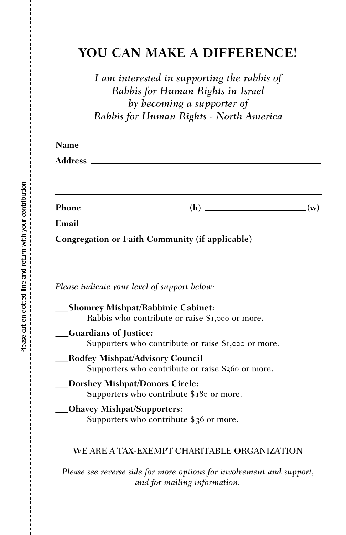### **YOU CAN MAKE A DIFFERENCE!**

*I am interested in supporting the rabbis of Rabbis for Human Rights in Israel by becoming a supporter of Rabbis for Human Rights - North America*

| <b>Name</b>                                                                                                                                                                                                                    |                                                                                                        |  |
|--------------------------------------------------------------------------------------------------------------------------------------------------------------------------------------------------------------------------------|--------------------------------------------------------------------------------------------------------|--|
| Address and the state of the state of the state of the state of the state of the state of the state of the state of the state of the state of the state of the state of the state of the state of the state of the state of th |                                                                                                        |  |
|                                                                                                                                                                                                                                |                                                                                                        |  |
| Email <b>Executive Email</b>                                                                                                                                                                                                   |                                                                                                        |  |
|                                                                                                                                                                                                                                | Congregation or Faith Community (if applicable) _____________                                          |  |
| Please indicate your level of support below:<br>Shomrey Mishpat/Rabbinic Cabinet:                                                                                                                                              |                                                                                                        |  |
| <b>Guardians of Justice:</b>                                                                                                                                                                                                   | Rabbis who contribute or raise \$1,000 or more.<br>Supporters who contribute or raise \$1,000 or more. |  |
| <b>Rodfey Mishpat/Advisory Council</b>                                                                                                                                                                                         | Supporters who contribute or raise \$360 or more.                                                      |  |
| <b>Dorshey Mishpat/Donors Circle:</b>                                                                                                                                                                                          | Supporters who contribute \$180 or more.                                                               |  |
| <b>Ohavey Mishpat/Supporters:</b>                                                                                                                                                                                              | Supporters who contribute \$36 or more.                                                                |  |
|                                                                                                                                                                                                                                | WE ARE A TAX-EXEMPT CHARITABLE ORGANIZATION                                                            |  |
|                                                                                                                                                                                                                                | Please see reverse side for more options for involvement and support,<br>and for mailing information.  |  |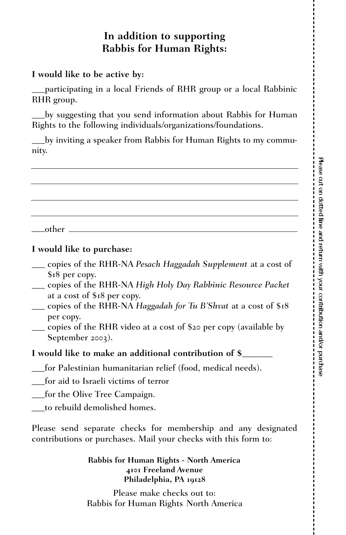### **In addition to supporting Rabbis for Human Rights:**

### **I would like to be active by:**

\_\_\_participating in a local Friends of RHR group or a local Rabbinic RHR group.

by suggesting that you send information about Rabbis for Human Rights to the following individuals/organizations/foundations.

\_\_\_by inviting a speaker from Rabbis for Human Rights to my community.

**\_\_\_**other

### **I would like to purchase:**

- \_\_\_ copies of the RHR-NA *Pesach Haggadah Supplement* at a cost of \$18 per copy.
- \_\_\_ copies of the RHR-NA *High Holy Day Rabbinic Resource Packet* at a cost of \$18 per copy.
- \_\_\_ copies of the RHR-NA *Haggadah for Tu B'Shvat* at a cost of \$18 per copy.
- \_\_\_ copies of the RHR video at a cost of \$20 per copy (available by September 2003).

### **I would like to make an additional contribution of \$\_\_\_\_\_\_\_**

- \_\_\_for Palestinian humanitarian relief (food, medical needs).
- \_\_\_for aid to Israeli victims of terror
- \_\_\_for the Olive Tree Campaign.
- to rebuild demolished homes.

Please send separate checks for membership and any designated contributions or purchases. Mail your checks with this form to:

> **Rabbis for Human Rights - North America 4101 Freeland Avenue Philadelphia, PA 19128**

Please make checks out to: Rabbis for Human Rights North America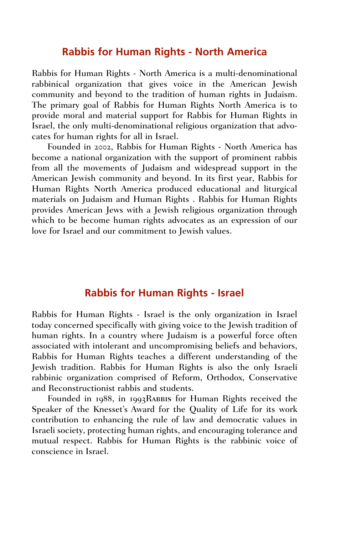### **Rabbis for Human Rights - North America**

Rabbis for Human Rights - North America is a multi-denominational rabbinical organization that gives voice in the American Jewish community and beyond to the tradition of human rights in Judaism. The primary goal of Rabbis for Human Rights North America is to provide moral and material support for Rabbis for Human Rights in Israel, the only multi-denominational religious organization that advocates for human rights for all in Israel.

Founded in 2002, Rabbis for Human Rights - North America has become a national organization with the support of prominent rabbis from all the movements of Judaism and widespread support in the American Jewish community and beyond. In its first year, Rabbis for Human Rights North America produced educational and liturgical materials on Judaism and Human Rights . Rabbis for Human Rights provides American Jews with a Jewish religious organization through which to be become human rights advocates as an expression of our love for Israel and our commitment to Jewish values.

### **Rabbis for Human Rights - Israel**

Rabbis for Human Rights - Israel is the only organization in Israel today concerned specifically with giving voice to the Jewish tradition of human rights. In a country where Judaism is a powerful force often associated with intolerant and uncompromising beliefs and behaviors, Rabbis for Human Rights teaches a different understanding of the Jewish tradition. Rabbis for Human Rights is also the only Israeli rabbinic organization comprised of Reform, Orthodox, Conservative and Reconstructionist rabbis and students.

Founded in 1988, in 1993RABBIS for Human Rights received the Speaker of the Knesset's Award for the Quality of Life for its work contribution to enhancing the rule of law and democratic values in Israeli society, protecting human rights, and encouraging tolerance and mutual respect. Rabbis for Human Rights is the rabbinic voice of conscience in Israel.